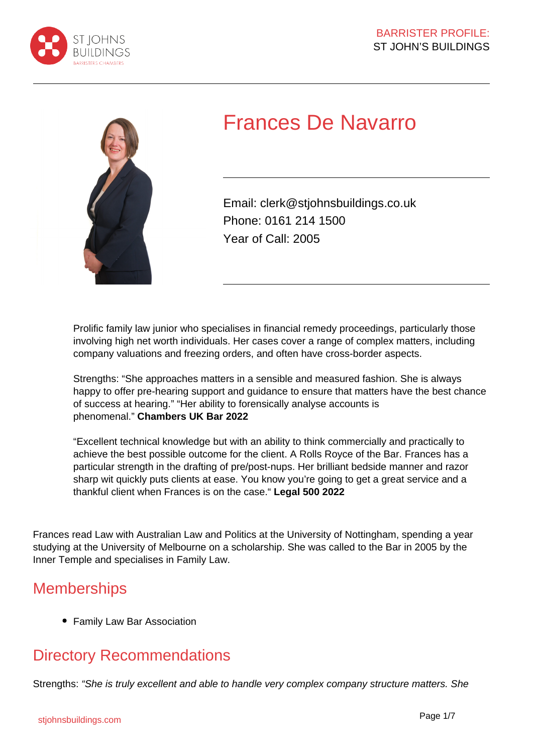



# Frances De Navarro

Email: clerk@stjohnsbuildings.co.uk Phone: 0161 214 1500 Year of Call: 2005

Prolific family law junior who specialises in financial remedy proceedings, particularly those involving high net worth individuals. Her cases cover a range of complex matters, including company valuations and freezing orders, and often have cross-border aspects.

Strengths: "She approaches matters in a sensible and measured fashion. She is always happy to offer pre-hearing support and guidance to ensure that matters have the best chance of success at hearing." "Her ability to forensically analyse accounts is phenomenal." **Chambers UK Bar 2022**

"Excellent technical knowledge but with an ability to think commercially and practically to achieve the best possible outcome for the client. A Rolls Royce of the Bar. Frances has a particular strength in the drafting of pre/post-nups. Her brilliant bedside manner and razor sharp wit quickly puts clients at ease. You know you're going to get a great service and a thankful client when Frances is on the case." **Legal 500 2022**

Frances read Law with Australian Law and Politics at the University of Nottingham, spending a year studying at the University of Melbourne on a scholarship. She was called to the Bar in 2005 by the Inner Temple and specialises in Family Law.

# **Memberships**

Family Law Bar Association

# Directory Recommendations

Strengths: "She is truly excellent and able to handle very complex company structure matters. She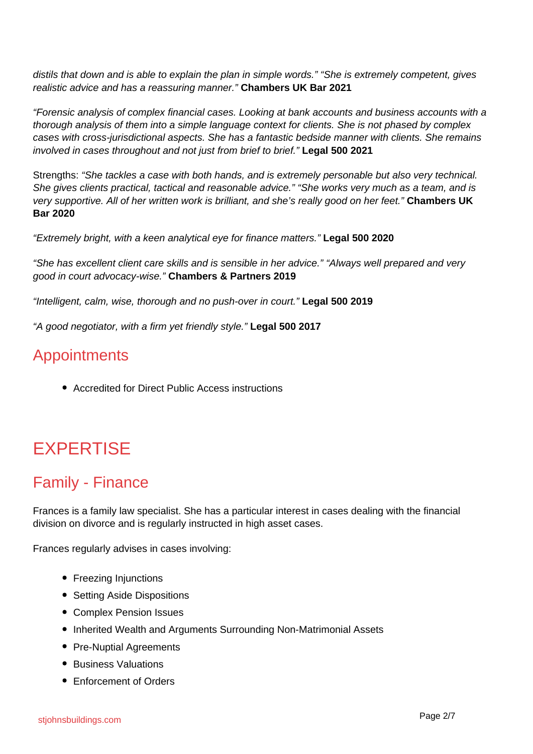distils that down and is able to explain the plan in simple words." "She is extremely competent, gives realistic advice and has a reassuring manner." **Chambers UK Bar 2021**

"Forensic analysis of complex financial cases. Looking at bank accounts and business accounts with a thorough analysis of them into a simple language context for clients. She is not phased by complex cases with cross-jurisdictional aspects. She has a fantastic bedside manner with clients. She remains involved in cases throughout and not just from brief to brief." **Legal 500 2021**

Strengths: "She tackles a case with both hands, and is extremely personable but also very technical. She gives clients practical, tactical and reasonable advice." "She works very much as a team, and is very supportive. All of her written work is brilliant, and she's really good on her feet." **Chambers UK Bar 2020**

"Extremely bright, with a keen analytical eye for finance matters." **Legal 500 2020**

"She has excellent client care skills and is sensible in her advice." "Always well prepared and very good in court advocacy-wise." **Chambers & Partners 2019**

"Intelligent, calm, wise, thorough and no push-over in court." **Legal 500 2019**

"A good negotiator, with a firm yet friendly style." **Legal 500 2017**

## **Appointments**

Accredited for Direct Public Access instructions

# EXPERTISE

## Family - Finance

Frances is a family law specialist. She has a particular interest in cases dealing with the financial division on divorce and is regularly instructed in high asset cases.

Frances regularly advises in cases involving:

- Freezing Injunctions
- Setting Aside Dispositions
- Complex Pension Issues
- Inherited Wealth and Arguments Surrounding Non-Matrimonial Assets
- Pre-Nuptial Agreements
- Business Valuations
- Enforcement of Orders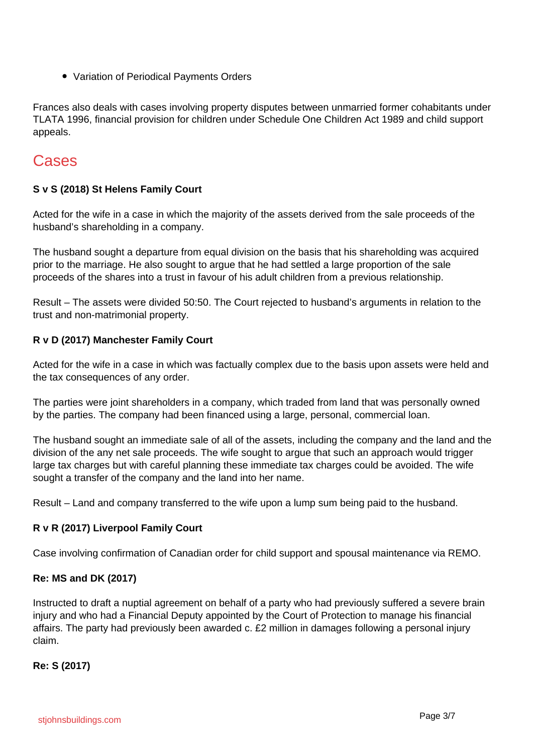Variation of Periodical Payments Orders

Frances also deals with cases involving property disputes between unmarried former cohabitants under TLATA 1996, financial provision for children under Schedule One Children Act 1989 and child support appeals.

### Cases

#### **S v S (2018) St Helens Family Court**

Acted for the wife in a case in which the majority of the assets derived from the sale proceeds of the husband's shareholding in a company.

The husband sought a departure from equal division on the basis that his shareholding was acquired prior to the marriage. He also sought to argue that he had settled a large proportion of the sale proceeds of the shares into a trust in favour of his adult children from a previous relationship.

Result – The assets were divided 50:50. The Court rejected to husband's arguments in relation to the trust and non-matrimonial property.

#### **R v D (2017) Manchester Family Court**

Acted for the wife in a case in which was factually complex due to the basis upon assets were held and the tax consequences of any order.

The parties were joint shareholders in a company, which traded from land that was personally owned by the parties. The company had been financed using a large, personal, commercial loan.

The husband sought an immediate sale of all of the assets, including the company and the land and the division of the any net sale proceeds. The wife sought to argue that such an approach would trigger large tax charges but with careful planning these immediate tax charges could be avoided. The wife sought a transfer of the company and the land into her name.

Result – Land and company transferred to the wife upon a lump sum being paid to the husband.

#### **R v R (2017) Liverpool Family Court**

Case involving confirmation of Canadian order for child support and spousal maintenance via REMO.

#### **Re: MS and DK (2017)**

Instructed to draft a nuptial agreement on behalf of a party who had previously suffered a severe brain injury and who had a Financial Deputy appointed by the Court of Protection to manage his financial affairs. The party had previously been awarded c. £2 million in damages following a personal injury claim.

#### **Re: S (2017)**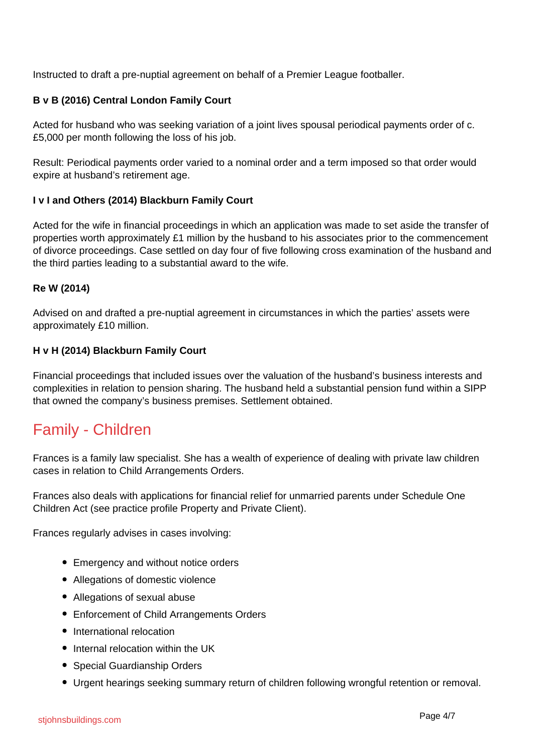Instructed to draft a pre-nuptial agreement on behalf of a Premier League footballer.

#### **B v B (2016) Central London Family Court**

Acted for husband who was seeking variation of a joint lives spousal periodical payments order of c. £5,000 per month following the loss of his job.

Result: Periodical payments order varied to a nominal order and a term imposed so that order would expire at husband's retirement age.

#### **I v I and Others (2014) Blackburn Family Court**

Acted for the wife in financial proceedings in which an application was made to set aside the transfer of properties worth approximately £1 million by the husband to his associates prior to the commencement of divorce proceedings. Case settled on day four of five following cross examination of the husband and the third parties leading to a substantial award to the wife.

#### **Re W (2014)**

Advised on and drafted a pre-nuptial agreement in circumstances in which the parties' assets were approximately £10 million.

#### **H v H (2014) Blackburn Family Court**

Financial proceedings that included issues over the valuation of the husband's business interests and complexities in relation to pension sharing. The husband held a substantial pension fund within a SIPP that owned the company's business premises. Settlement obtained.

### Family - Children

Frances is a family law specialist. She has a wealth of experience of dealing with private law children cases in relation to Child Arrangements Orders.

Frances also deals with applications for financial relief for unmarried parents under Schedule One Children Act (see practice profile Property and Private Client).

Frances regularly advises in cases involving:

- Emergency and without notice orders
- Allegations of domestic violence
- Allegations of sexual abuse
- Enforcement of Child Arrangements Orders
- International relocation
- Internal relocation within the UK
- Special Guardianship Orders
- Urgent hearings seeking summary return of children following wrongful retention or removal.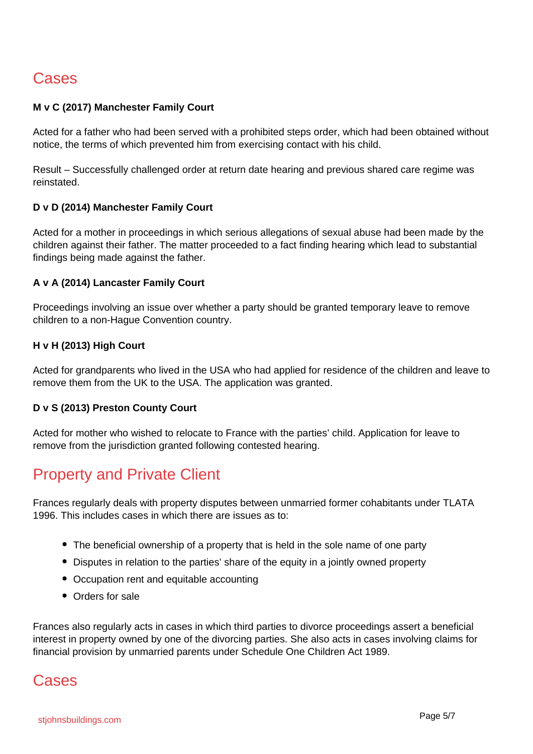# Cases

#### **M v C (2017) Manchester Family Court**

Acted for a father who had been served with a prohibited steps order, which had been obtained without notice, the terms of which prevented him from exercising contact with his child.

Result – Successfully challenged order at return date hearing and previous shared care regime was reinstated.

#### **D v D (2014) Manchester Family Court**

Acted for a mother in proceedings in which serious allegations of sexual abuse had been made by the children against their father. The matter proceeded to a fact finding hearing which lead to substantial findings being made against the father.

#### **A v A (2014) Lancaster Family Court**

Proceedings involving an issue over whether a party should be granted temporary leave to remove children to a non-Hague Convention country.

#### **H v H (2013) High Court**

Acted for grandparents who lived in the USA who had applied for residence of the children and leave to remove them from the UK to the USA. The application was granted.

#### **D v S (2013) Preston County Court**

Acted for mother who wished to relocate to France with the parties' child. Application for leave to remove from the jurisdiction granted following contested hearing.

## Property and Private Client

Frances regularly deals with property disputes between unmarried former cohabitants under TLATA 1996. This includes cases in which there are issues as to:

- The beneficial ownership of a property that is held in the sole name of one party
- Disputes in relation to the parties' share of the equity in a jointly owned property
- Occupation rent and equitable accounting
- Orders for sale

Frances also regularly acts in cases in which third parties to divorce proceedings assert a beneficial interest in property owned by one of the divorcing parties. She also acts in cases involving claims for financial provision by unmarried parents under Schedule One Children Act 1989.

### Cases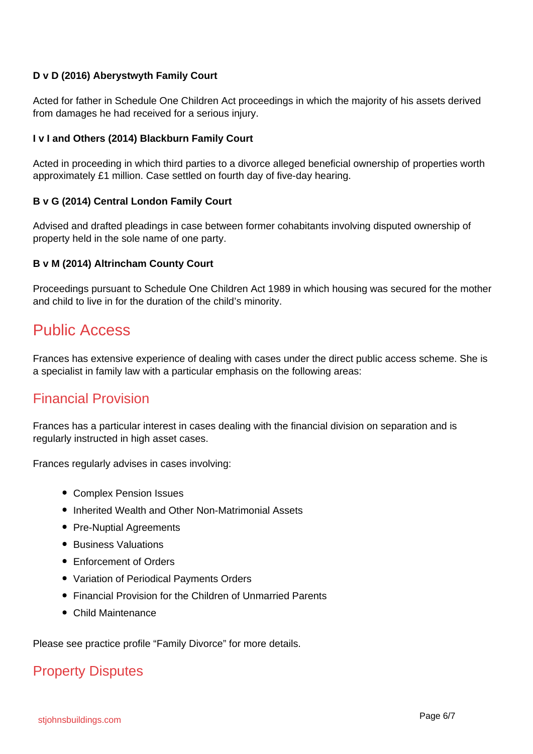#### **D v D (2016) Aberystwyth Family Court**

Acted for father in Schedule One Children Act proceedings in which the majority of his assets derived from damages he had received for a serious injury.

#### **I v I and Others (2014) Blackburn Family Court**

Acted in proceeding in which third parties to a divorce alleged beneficial ownership of properties worth approximately £1 million. Case settled on fourth day of five-day hearing.

#### **B v G (2014) Central London Family Court**

Advised and drafted pleadings in case between former cohabitants involving disputed ownership of property held in the sole name of one party.

#### **B v M (2014) Altrincham County Court**

Proceedings pursuant to Schedule One Children Act 1989 in which housing was secured for the mother and child to live in for the duration of the child's minority.

### Public Access

Frances has extensive experience of dealing with cases under the direct public access scheme. She is a specialist in family law with a particular emphasis on the following areas:

### Financial Provision

Frances has a particular interest in cases dealing with the financial division on separation and is regularly instructed in high asset cases.

Frances regularly advises in cases involving:

- Complex Pension Issues
- Inherited Wealth and Other Non-Matrimonial Assets
- Pre-Nuptial Agreements
- Business Valuations
- Enforcement of Orders
- Variation of Periodical Payments Orders
- Financial Provision for the Children of Unmarried Parents
- Child Maintenance

Please see practice profile "Family Divorce" for more details.

### Property Disputes